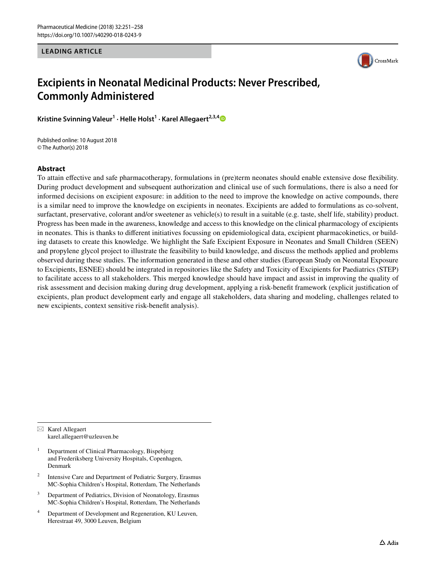**LEADING ARTICLE**



# **Excipients in Neonatal Medicinal Products: Never Prescribed, Commonly Administered**

**Kristine Svinning Valeur1 · Helle Holst1 · Karel Allegaert2,3,[4](http://orcid.org/0000-0001-9921-5105)**

Published online: 10 August 2018 © The Author(s) 2018

### **Abstract**

To attain efective and safe pharmacotherapy, formulations in (pre)term neonates should enable extensive dose fexibility. During product development and subsequent authorization and clinical use of such formulations, there is also a need for informed decisions on excipient exposure: in addition to the need to improve the knowledge on active compounds, there is a similar need to improve the knowledge on excipients in neonates. Excipients are added to formulations as co-solvent, surfactant, preservative, colorant and/or sweetener as vehicle(s) to result in a suitable (e.g. taste, shelf life, stability) product. Progress has been made in the awareness, knowledge and access to this knowledge on the clinical pharmacology of excipients in neonates. This is thanks to diferent initiatives focussing on epidemiological data, excipient pharmacokinetics, or building datasets to create this knowledge. We highlight the Safe Excipient Exposure in Neonates and Small Children (SEEN) and propylene glycol project to illustrate the feasibility to build knowledge, and discuss the methods applied and problems observed during these studies. The information generated in these and other studies (European Study on Neonatal Exposure to Excipients, ESNEE) should be integrated in repositories like the Safety and Toxicity of Excipients for Paediatrics (STEP) to facilitate access to all stakeholders. This merged knowledge should have impact and assist in improving the quality of risk assessment and decision making during drug development, applying a risk-beneft framework (explicit justifcation of excipients, plan product development early and engage all stakeholders, data sharing and modeling, challenges related to new excipients, context sensitive risk-beneft analysis).

 $\boxtimes$  Karel Allegaert karel.allegaert@uzleuven.be

- <sup>1</sup> Department of Clinical Pharmacology, Bispebjerg and Frederiksberg University Hospitals, Copenhagen, Denmark
- <sup>2</sup> Intensive Care and Department of Pediatric Surgery, Erasmus MC-Sophia Children's Hospital, Rotterdam, The Netherlands
- <sup>3</sup> Department of Pediatrics, Division of Neonatology, Erasmus MC-Sophia Children's Hospital, Rotterdam, The Netherlands
- <sup>4</sup> Department of Development and Regeneration, KU Leuven, Herestraat 49, 3000 Leuven, Belgium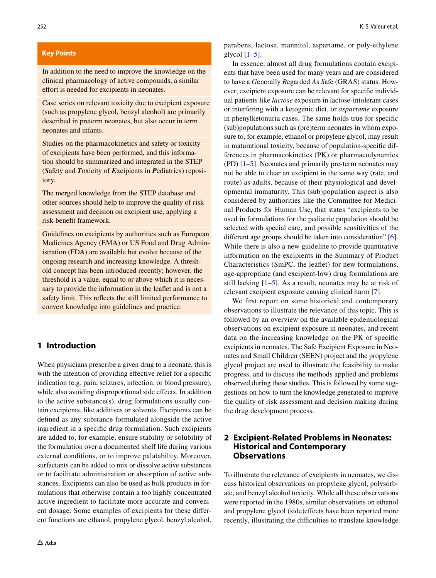#### **Key Points**

In addition to the need to improve the knowledge on the clinical pharmacology of active compounds, a similar effort is needed for excipients in neonates.

Case series on relevant toxicity due to excipient exposure (such as propylene glycol, benzyl alcohol) are primarily described in preterm neonates, but also occur in term neonates and infants.

Studies on the pharmacokinetics and safety or toxicity of excipients have been performed, and this information should be summarized and integrated in the STEP (*S*afety and *T*oxicity of *E*xcipients in *P*ediatrics) repository.

The merged knowledge from the STEP database and other sources should help to improve the quality of risk assessment and decision on excipient use, applying a risk-beneft framework.

Guidelines on excipients by authorities such as European Medicines Agency (EMA) or US Food and Drug Administration (FDA) are available but evolve because of the ongoing research and increasing knowledge. A threshold concept has been introduced recently; however, the threshold is a value, equal to or above which it is necessary to provide the information in the leafet and is not a safety limit. This refects the still limited performance to convert knowledge into guidelines and practice.

## **1 Introduction**

When physicians prescribe a given drug to a neonate, this is with the intention of providing efective relief for a specifc indication (e.g. pain, seizures, infection, or blood pressure), while also avoiding disproportional side effects. In addition to the active substance(s), drug formulations usually contain excipients, like additives or solvents. Excipients can be defned as any substance formulated alongside the active ingredient in a specifc drug formulation. Such excipients are added to, for example, ensure stability or solubility of the formulation over a documented shelf life during various external conditions, or to improve palatability. Moreover, surfactants can be added to mix or dissolve active substances or to facilitate administration or absorption of active substances. Excipients can also be used as bulk products in formulations that otherwise contain a too highly concentrated active ingredient to facilitate more accurate and convenient dosage. Some examples of excipients for these diferent functions are ethanol, propylene glycol, benzyl alcohol, parabens, lactose, mannitol, aspartame, or poly-ethylene glycol [[1–](#page-6-0)[5](#page-6-1)].

In essence, almost all drug formulations contain excipients that have been used for many years and are considered to have a *G*enerally *R*egarded *A*s *S*afe (GRAS) status. However, excipient exposure can be relevant for specifc individual patients like *lactose* exposure in lactose-intolerant cases or interfering with a ketogenic diet, or *aspartame* exposure in phenylketonuria cases. The same holds true for specifc (sub)populations such as (pre)term neonates in whom exposure to, for example, ethanol or propylene glycol, may result in maturational toxicity, because of population-specifc differences in pharmacokinetics (PK) or pharmacodynamics (PD) [[1–](#page-6-0)[5\]](#page-6-1). Neonates and primarily pre-term neonates may not be able to clear an excipient in the same way (rate, and route) as adults, because of their physiological and developmental immaturity. This (sub)population aspect is also considered by authorities like the Committee for Medicinal Products for Human Use, that states "excipients to be used in formulations for the pediatric population should be selected with special care, and possible sensitivities of the diferent age groups should be taken into consideration" [\[6](#page-6-2)]. While there is also a new guideline to provide quantitative information on the excipients in the Summary of Product Characteristics (SmPC, the leafet) for new formulations, age-appropriate (and excipient-low) drug formulations are still lacking  $[1-5]$  $[1-5]$  $[1-5]$ . As a result, neonates may be at risk of relevant excipient exposure causing clinical harm [[7\]](#page-6-3).

We first report on some historical and contemporary observations to illustrate the relevance of this topic. This is followed by an overview on the available epidemiological observations on excipient exposure in neonates, and recent data on the increasing knowledge on the PK of specifc excipients in neonates. The Safe Excipient Exposure in Neonates and Small Children (SEEN) project and the propylene glycol project are used to illustrate the feasibility to make progress, and to discuss the methods applied and problems observed during these studies. This is followed by some suggestions on how to turn the knowledge generated to improve the quality of risk assessment and decision making during the drug development process.

## **2 Excipient‑Related Problems in Neonates: Historical and Contemporary Observations**

To illustrate the relevance of excipients in neonates, we discuss historical observations on propylene glycol, polysorbate, and benzyl alcohol toxicity. While all these observations were reported in the 1980s, similar observations on ethanol and propylene glycol (side)effects have been reported more recently, illustrating the difficulties to translate knowledge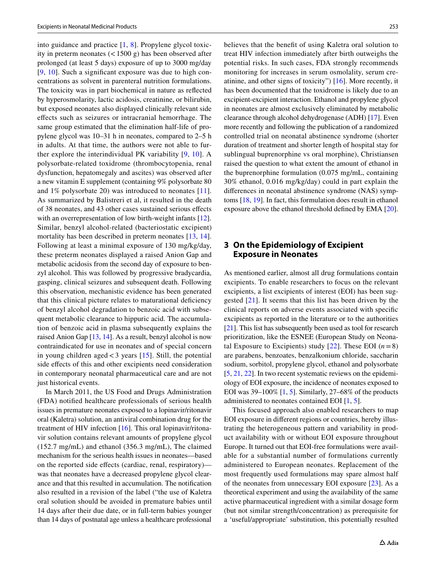into guidance and practice [\[1,](#page-6-0) [8](#page-6-4)]. Propylene glycol toxicity in preterm neonates (<1500 g) has been observed after prolonged (at least 5 days) exposure of up to 3000 mg/day [\[9,](#page-6-5) [10\]](#page-6-6). Such a signifcant exposure was due to high concentrations as solvent in parenteral nutrition formulations. The toxicity was in part biochemical in nature as refected by hyperosmolarity, lactic acidosis, creatinine, or bilirubin, but exposed neonates also displayed clinically relevant side efects such as seizures or intracranial hemorrhage. The same group estimated that the elimination half-life of propylene glycol was 10–31 h in neonates, compared to 2–5 h in adults. At that time, the authors were not able to further explore the interindividual PK variability [\[9](#page-6-5), [10\]](#page-6-6). A polysorbate-related toxidrome (thrombocytopenia, renal dysfunction, hepatomegaly and ascites) was observed after a new vitamin E supplement (containing 9% polysorbate 80 and 1% polysorbate 20) was introduced to neonates [[11](#page-6-7)]. As summarized by Balistreri et al, it resulted in the death of 38 neonates, and 43 other cases sustained serious efects with an overrepresentation of low birth-weight infants [\[12](#page-6-8)]. Similar, benzyl alcohol-related (bacteriostatic excipient) mortality has been described in preterm neonates [[13,](#page-6-9) [14](#page-6-10)]. Following at least a minimal exposure of 130 mg/kg/day, these preterm neonates displayed a raised Anion Gap and metabolic acidosis from the second day of exposure to benzyl alcohol. This was followed by progressive bradycardia, gasping, clinical seizures and subsequent death. Following this observation, mechanistic evidence has been generated that this clinical picture relates to maturational defciency of benzyl alcohol degradation to benzoic acid with subsequent metabolic clearance to hippuric acid. The accumulation of benzoic acid in plasma subsequently explains the raised Anion Gap [[13](#page-6-9), [14\]](#page-6-10). As a result, benzyl alcohol is now contraindicated for use in neonates and of special concern in young children aged < 3 years  $[15]$  $[15]$  $[15]$ . Still, the potential side effects of this and other excipients need consideration in contemporary neonatal pharmaceutical care and are not just historical events.

In March 2011, the US Food and Drugs Administration (FDA) notifed healthcare professionals of serious health issues in premature neonates exposed to a lopinavir/ritonavir oral (Kaletra) solution, an antiviral combination drug for the treatment of HIV infection [\[16](#page-6-12)]. This oral lopinavir/ritonavir solution contains relevant amounts of propylene glycol (152.7 mg/mL) and ethanol (356.3 mg/mL), The claimed mechanism for the serious health issues in neonates—based on the reported side efects (cardiac, renal, respiratory) was that neonates have a decreased propylene glycol clearance and that this resulted in accumulation. The notifcation also resulted in a revision of the label ("the use of Kaletra oral solution should be avoided in premature babies until 14 days after their due date, or in full-term babies younger than 14 days of postnatal age unless a healthcare professional believes that the beneft of using Kaletra oral solution to treat HIV infection immediately after birth outweighs the potential risks. In such cases, FDA strongly recommends monitoring for increases in serum osmolality, serum creatinine, and other signs of toxicity") [[16\]](#page-6-12). More recently, it has been documented that the toxidrome is likely due to an excipient-excipient interaction. Ethanol and propylene glycol in neonates are almost exclusively eliminated by metabolic clearance through alcohol dehydrogenase (ADH) [\[17\]](#page-6-13). Even more recently and following the publication of a randomized controlled trial on neonatal abstinence syndrome (shorter duration of treatment and shorter length of hospital stay for sublingual buprenorphine vs oral morphine), Christiansen raised the question to what extent the amount of ethanol in the buprenorphine formulation (0.075 mg/mL, containing 30% ethanol, 0.016 mg/kg/day) could in part explain the diferences in neonatal abstinence syndrome (NAS) symptoms [\[18](#page-7-0), [19\]](#page-7-1). In fact, this formulation does result in ethanol exposure above the ethanol threshold defned by EMA [\[20](#page-7-2)].

## **3 On the Epidemiology of Excipient Exposure in Neonates**

As mentioned earlier, almost all drug formulations contain excipients. To enable researchers to focus on the relevant excipients, a list excipients of interest (EOI) has been suggested [[21](#page-7-3)]. It seems that this list has been driven by the clinical reports on adverse events associated with specifc excipients as reported in the literature or to the authorities [\[21](#page-7-3)]. This list has subsequently been used as tool for research prioritization, like the ESNEE (European Study on Neonatal Exposure to Excipients) study  $[22]$  $[22]$ . These EOI  $(n=8)$ are parabens, benzoates, benzalkonium chloride, saccharin sodium, sorbitol, propylene glycol, ethanol and polysorbate [\[5](#page-6-1), [21](#page-7-3), [22\]](#page-7-4). In two recent systematic reviews on the epidemiology of EOI exposure, the incidence of neonates exposed to EOI was  $39-100\%$  [[1,](#page-6-0) [5\]](#page-6-1). Similarly,  $27-68\%$  of the products administered to neonates contained EOI [\[1](#page-6-0), [5](#page-6-1)].

This focused approach also enabled researchers to map EOI exposure in diferent regions or countries, hereby illustrating the heterogeneous pattern and variability in product availability with or without EOI exposure throughout Europe. It turned out that EOI-free formulations were available for a substantial number of formulations currently administered to European neonates. Replacement of the most frequently used formulations may spare almost half of the neonates from unnecessary EOI exposure [\[23](#page-7-5)]. As a theoretical experiment and using the availability of the same active pharmaceutical ingredient with a similar dosage form (but not similar strength/concentration) as prerequisite for a 'useful/appropriate' substitution, this potentially resulted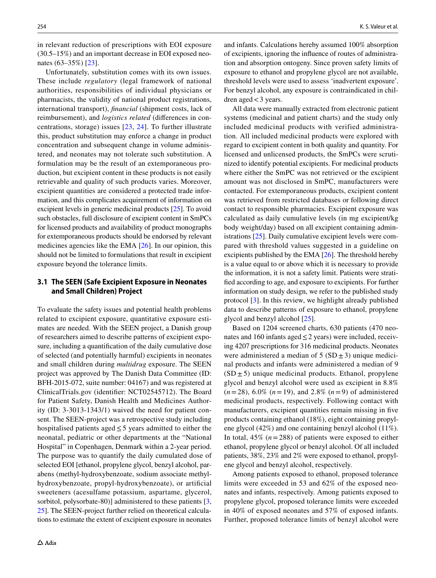in relevant reduction of prescriptions with EOI exposure (30.5–15%) and an important decrease in EOI exposed neonates (63–35%) [[23\]](#page-7-5).

Unfortunately, substitution comes with its own issues. These include *regulatory* (legal framework of national authorities, responsibilities of individual physicians or pharmacists, the validity of national product registrations, international transport), *fnancial* (shipment costs, lack of reimbursement), and *logistics related* (diferences in concentrations, storage) issues [[23,](#page-7-5) [24](#page-7-6)]. To further illustrate this, product substitution may enforce a change in product concentration and subsequent change in volume administered, and neonates may not tolerate such substitution. A formulation may be the result of an extemporaneous production, but excipient content in these products is not easily retrievable and quality of such products varies. Moreover, excipient quantities are considered a protected trade information, and this complicates acquirement of information on excipient levels in generic medicinal products [[25\]](#page-7-7). To avoid such obstacles, full disclosure of excipient content in SmPCs for licensed products and availability of product monographs for extemporaneous products should be endorsed by relevant medicines agencies like the EMA [[26\]](#page-7-8). In our opinion, this should not be limited to formulations that result in excipient exposure beyond the tolerance limits.

## **3.1 The SEEN (Safe Excipient Exposure in Neonates and Small Children) Project**

To evaluate the safety issues and potential health problems related to excipient exposure, quantitative exposure estimates are needed. With the SEEN project, a Danish group of researchers aimed to describe patterns of excipient exposure, including a quantifcation of the daily cumulative dose of selected (and potentially harmful) excipients in neonates and small children during *multidrug* exposure. The SEEN project was approved by The Danish Data Committee (ID: BFH-2015-072, suite number: 04167) and was registered at ClinicalTrials.gov (identifer: NCT02545712). The Board for Patient Safety, Danish Health and Medicines Authority (ID: 3-3013-1343/1) waived the need for patient consent. The SEEN-project was a retrospective study including hospitalised patients aged≤5 years admitted to either the neonatal, pediatric or other departments at the "National Hospital" in Copenhagen, Denmark within a 2-year period. The purpose was to quantify the daily cumulated dose of selected EOI [ethanol, propylene glycol, benzyl alcohol, parabens (methyl-hydroxybenzoate, sodium associate methylhydroxybenzoate, propyl-hydroxybenzoate), or artifcial sweeteners (acesulfame potassium, aspartame, glycerol, sorbitol, polysorbate-80)] administered to these patients [[3,](#page-6-14) [25](#page-7-7)]. The SEEN-project further relied on theoretical calculations to estimate the extent of excipient exposure in neonates and infants. Calculations hereby assumed 100% absorption of excipients, ignoring the infuence of routes of administration and absorption ontogeny. Since proven safety limits of exposure to ethanol and propylene glycol are not available, threshold levels were used to assess 'inadvertent exposure'. For benzyl alcohol, any exposure is contraindicated in children aged  $<$  3 years.

All data were manually extracted from electronic patient systems (medicinal and patient charts) and the study only included medicinal products with verified administration. All included medicinal products were explored with regard to excipient content in both quality and quantity. For licensed and unlicensed products, the SmPCs were scrutinized to identify potential excipients. For medicinal products where either the SmPC was not retrieved or the excipient amount was not disclosed in SmPC, manufacturers were contacted. For extemporaneous products, excipient content was retrieved from restricted databases or following direct contact to responsible pharmacies. Excipient exposure was calculated as daily cumulative levels (in mg excipient/kg body weight/day) based on all excipient containing administrations [[25\]](#page-7-7). Daily cumulative excipient levels were compared with threshold values suggested in a guideline on excipients published by the EMA [[26\]](#page-7-8). The threshold hereby is a value equal to or above which it is necessary to provide the information, it is not a safety limit. Patients were stratifed according to age, and exposure to excipients. For further information on study design, we refer to the published study protocol [[3\]](#page-6-14). In this review, we highlight already published data to describe patterns of exposure to ethanol, propylene glycol and benzyl alcohol [\[25](#page-7-7)].

Based on 1204 screened charts, 630 patients (470 neonates and 160 infants aged≤2 years) were included, receiving 4207 prescriptions for 316 medicinal products. Neonates were administered a median of  $5 (SD \pm 3)$  unique medicinal products and infants were administered a median of 9  $(SD \pm 5)$  unique medicinal products. Ethanol, propylene glycol and benzyl alcohol were used as excipient in 8.8% (*n*=28), 6.0% (*n*=19), and 2.8% (*n*=9) of administered medicinal products, respectively. Following contact with manufacturers, excipient quantities remain missing in fve products containing ethanol (18%), eight containing propylene glycol (42%) and one containing benzyl alcohol (11%). In total, 45% (*n*=288) of patients were exposed to either ethanol, propylene glycol or benzyl alcohol. Of all included patients, 38%, 23% and 2% were exposed to ethanol, propylene glycol and benzyl alcohol, respectively.

Among patients exposed to ethanol, proposed tolerance limits were exceeded in 53 and 62% of the exposed neonates and infants, respectively. Among patients exposed to propylene glycol, proposed tolerance limits were exceeded in 40% of exposed neonates and 57% of exposed infants. Further, proposed tolerance limits of benzyl alcohol were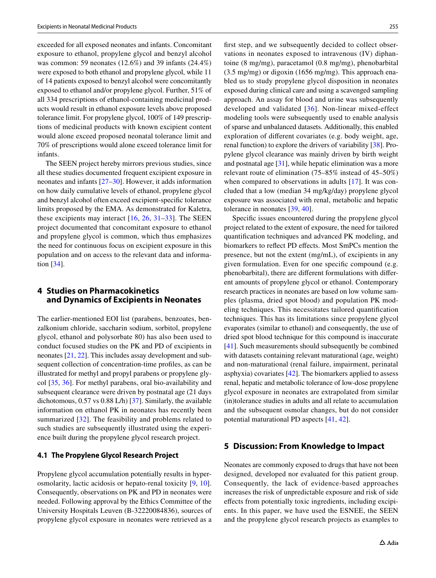exceeded for all exposed neonates and infants. Concomitant exposure to ethanol, propylene glycol and benzyl alcohol was common: 59 neonates (12.6%) and 39 infants (24.4%) were exposed to both ethanol and propylene glycol, while 11 of 14 patients exposed to benzyl alcohol were concomitantly exposed to ethanol and/or propylene glycol. Further, 51% of all 334 prescriptions of ethanol-containing medicinal products would result in ethanol exposure levels above proposed tolerance limit. For propylene glycol, 100% of 149 prescriptions of medicinal products with known excipient content would alone exceed proposed neonatal tolerance limit and 70% of prescriptions would alone exceed tolerance limit for infants.

The SEEN project hereby mirrors previous studies, since all these studies documented frequent excipient exposure in neonates and infants [[27–](#page-7-9)[30\]](#page-7-10). However, it adds information on how daily cumulative levels of ethanol, propylene glycol and benzyl alcohol often exceed excipient-specifc tolerance limits proposed by the EMA. As demonstrated for Kaletra, these excipients may interact [[16](#page-6-12), [26](#page-7-8), [31](#page-7-11)[–33\]](#page-7-12). The SEEN project documented that concomitant exposure to ethanol and propylene glycol is common, which thus emphasizes the need for continuous focus on excipient exposure in this population and on access to the relevant data and information [[34\]](#page-7-13).

# **4 Studies on Pharmacokinetics and Dynamics of Excipients in Neonates**

The earlier-mentioned EOI list (parabens, benzoates, benzalkonium chloride, saccharin sodium, sorbitol, propylene glycol, ethanol and polysorbate 80) has also been used to conduct focused studies on the PK and PD of excipients in neonates [\[21](#page-7-3), [22\]](#page-7-4). This includes assay development and subsequent collection of concentration-time profles, as can be illustrated for methyl and propyl parabens or propylene glycol [[35,](#page-7-14) [36\]](#page-7-15). For methyl parabens, oral bio-availability and subsequent clearance were driven by postnatal age (21 days dichotomous, 0.57 vs 0.88 L/h) [\[37](#page-7-16)]. Similarly, the available information on ethanol PK in neonates has recently been summarized [[32](#page-7-17)]. The feasibility and problems related to such studies are subsequently illustrated using the experience built during the propylene glycol research project.

## **4.1 The Propylene Glycol Research Project**

Propylene glycol accumulation potentially results in hyperosmolarity, lactic acidosis or hepato-renal toxicity [[9,](#page-6-5) [10](#page-6-6)]. Consequently, observations on PK and PD in neonates were needed. Following approval by the Ethics Committee of the University Hospitals Leuven (B-32220084836), sources of propylene glycol exposure in neonates were retrieved as a frst step, and we subsequently decided to collect observations in neonates exposed to intravenous (IV) diphantoine (8 mg/mg), paracetamol (0.8 mg/mg), phenobarbital (3.5 mg/mg) or digoxin (1656 mg/mg). This approach enabled us to study propylene glycol disposition in neonates exposed during clinical care and using a scavenged sampling approach. An assay for blood and urine was subsequently developed and validated [\[36\]](#page-7-15). Non-linear mixed-effect modeling tools were subsequently used to enable analysis of sparse and unbalanced datasets. Additionally, this enabled exploration of diferent covariates (e.g. body weight, age, renal function) to explore the drivers of variability [\[38](#page-7-18)]. Propylene glycol clearance was mainly driven by birth weight and postnatal age [[31\]](#page-7-11), while hepatic elimination was a more relevant route of elimination (75–85% instead of 45–50%) when compared to observations in adults [[17](#page-6-13)]. It was concluded that a low (median 34 mg/kg/day) propylene glycol exposure was associated with renal, metabolic and hepatic tolerance in neonates [\[39](#page-7-19), [40](#page-7-20)].

Specifc issues encountered during the propylene glycol project related to the extent of exposure, the need for tailored quantifcation techniques and advanced PK modeling, and biomarkers to refect PD efects. Most SmPCs mention the presence, but not the extent (mg/mL), of excipients in any given formulation. Even for one specifc compound (e.g. phenobarbital), there are diferent formulations with diferent amounts of propylene glycol or ethanol. Contemporary research practices in neonates are based on low volume samples (plasma, dried spot blood) and population PK modeling techniques. This necessitates tailored quantifcation techniques. This has its limitations since propylene glycol evaporates (similar to ethanol) and consequently, the use of dried spot blood technique for this compound is inaccurate [\[41\]](#page-7-21). Such measurements should subsequently be combined with datasets containing relevant maturational (age, weight) and non-maturational (renal failure, impairment, perinatal asphyxia) covariates [[42\]](#page-7-22). The biomarkers applied to assess renal, hepatic and metabolic tolerance of low-dose propylene glycol exposure in neonates are extrapolated from similar (in)tolerance studies in adults and all relate to accumulation and the subsequent osmolar changes, but do not consider potential maturational PD aspects [[41,](#page-7-21) [42](#page-7-22)].

#### **5 Discussion: From Knowledge to Impact**

Neonates are commonly exposed to drugs that have not been designed, developed nor evaluated for this patient group. Consequently, the lack of evidence-based approaches increases the risk of unpredictable exposure and risk of side efects from potentially toxic ingredients, including excipients. In this paper, we have used the ESNEE, the SEEN and the propylene glycol research projects as examples to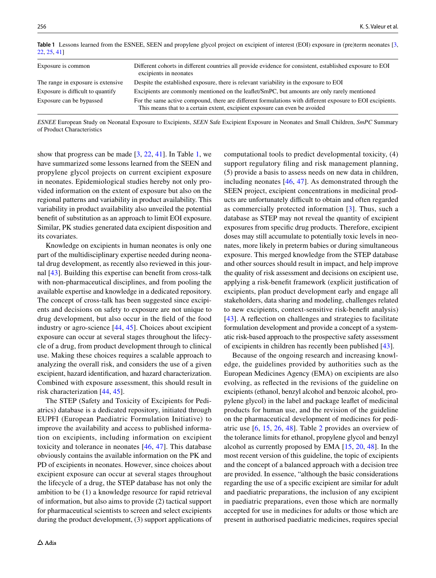| Exposure is common                  | Different cohorts in different countries all provide evidence for consistent, established exposure to EOI<br>excipients in neonates                                                      |
|-------------------------------------|------------------------------------------------------------------------------------------------------------------------------------------------------------------------------------------|
| The range in exposure is extensive. | Despite the established exposure, there is relevant variability in the exposure to EOI                                                                                                   |
| Exposure is difficult to quantify   | Excipients are commonly mentioned on the leaflet/SmPC, but amounts are only rarely mentioned                                                                                             |
| Exposure can be bypassed            | For the same active compound, there are different formulations with different exposure to EOI excipients.<br>This means that to a certain extent, excipient exposure can even be avoided |

<span id="page-5-0"></span>**Table 1** Lessons learned from the ESNEE, SEEN and propylene glycol project on excipient of interest (EOI) exposure in (pre)term neonates [[3](#page-6-14), [22,](#page-7-4) [25](#page-7-7), [41](#page-7-21)]

*ESNEE* European Study on Neonatal Exposure to Excipients, *SEEN* Safe Excipient Exposure in Neonates and Small Children, *SmPC* Summary of Product Characteristics

show that progress can be made [[3,](#page-6-14) [22,](#page-7-4) [41](#page-7-21)]. In Table [1](#page-5-0), we have summarized some lessons learned from the SEEN and propylene glycol projects on current excipient exposure in neonates. Epidemiological studies hereby not only provided information on the extent of exposure but also on the regional patterns and variability in product availability. This variability in product availability also unveiled the potential beneft of substitution as an approach to limit EOI exposure. Similar, PK studies generated data excipient disposition and its covariates.

Knowledge on excipients in human neonates is only one part of the multidisciplinary expertise needed during neonatal drug development, as recently also reviewed in this journal [\[43](#page-7-23)]. Building this expertise can beneft from cross-talk with non-pharmaceutical disciplines, and from pooling the available expertise and knowledge in a dedicated repository. The concept of cross-talk has been suggested since excipients and decisions on safety to exposure are not unique to drug development, but also occur in the feld of the food industry or agro-science [[44,](#page-7-24) [45](#page-7-25)]. Choices about excipient exposure can occur at several stages throughout the lifecycle of a drug, from product development through to clinical use. Making these choices requires a scalable approach to analyzing the overall risk, and considers the use of a given excipient, hazard identifcation, and hazard characterization. Combined with exposure assessment, this should result in risk characterization [\[44](#page-7-24), [45](#page-7-25)].

The STEP (Safety and Toxicity of Excipients for Pediatrics) database is a dedicated repository, initiated through EUPFI (European Paediatric Formulation Initiative) to improve the availability and access to published information on excipients, including information on excipient toxicity and tolerance in neonates [\[46,](#page-7-26) [47](#page-7-27)]. This database obviously contains the available information on the PK and PD of excipients in neonates. However, since choices about excipient exposure can occur at several stages throughout the lifecycle of a drug, the STEP database has not only the ambition to be (1) a knowledge resource for rapid retrieval of information, but also aims to provide (2) tactical support for pharmaceutical scientists to screen and select excipients during the product development, (3) support applications of computational tools to predict developmental toxicity, (4) support regulatory fling and risk management planning, (5) provide a basis to assess needs on new data in children, including neonates [[46](#page-7-26), [47\]](#page-7-27). As demonstrated through the SEEN project, excipient concentrations in medicinal products are unfortunately difficult to obtain and often regarded as commercially protected information [\[3](#page-6-14)]. Thus, such a database as STEP may not reveal the quantity of excipient exposures from specifc drug products. Therefore, excipient doses may still accumulate to potentially toxic levels in neonates, more likely in preterm babies or during simultaneous exposure. This merged knowledge from the STEP database and other sources should result in impact, and help improve the quality of risk assessment and decisions on excipient use, applying a risk-beneft framework (explicit justifcation of excipients, plan product development early and engage all stakeholders, data sharing and modeling, challenges related to new excipients, context-sensitive risk-beneft analysis) [[43\]](#page-7-23). A refection on challenges and strategies to facilitate formulation development and provide a concept of a systematic risk-based approach to the prospective safety assessment of excipients in children has recently been published [\[43](#page-7-23)].

Because of the ongoing research and increasing knowledge, the guidelines provided by authorities such as the European Medicines Agency (EMA) on excipients are also evolving, as refected in the revisions of the guideline on excipients (ethanol, benzyl alcohol and benzoic alcohol, propylene glycol) in the label and package leafet of medicinal products for human use, and the revision of the guideline on the pharmaceutical development of medicines for pediatric use [[6](#page-6-2), [15,](#page-6-11) [26,](#page-7-8) [48\]](#page-7-28). Table [2](#page-6-15) provides an overview of the tolerance limits for ethanol, propylene glycol and benzyl alcohol as currently proposed by EMA [[15,](#page-6-11) [20](#page-7-2), [48\]](#page-7-28). In the most recent version of this guideline, the topic of excipients and the concept of a balanced approach with a decision tree are provided. In essence, "although the basic considerations regarding the use of a specifc excipient are similar for adult and paediatric preparations, the inclusion of any excipient in paediatric preparations, even those which are normally accepted for use in medicines for adults or those which are present in authorised paediatric medicines, requires special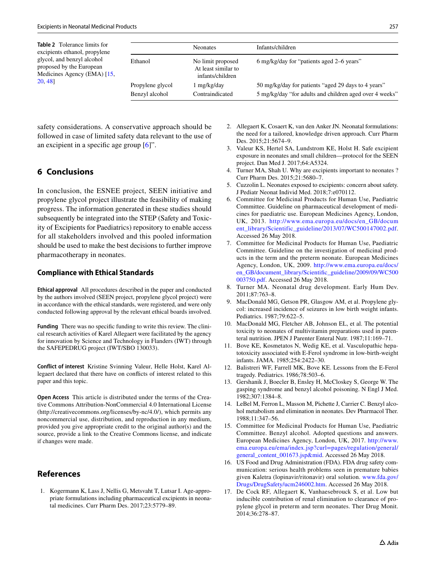<span id="page-6-15"></span>**Table 2** Tolerance limits for excipients ethanol, propylene glycol, and benzyl alcohol proposed by the European Medicines Agency (EMA) [\[15,](#page-6-11) [20,](#page-7-2) [48](#page-7-28)] Neonates Infants/children Ethanol No limit proposed At least similar to infants/children 6 mg/kg/day for "patients aged 2–6 years" Propylene glycol 1 mg/kg/day 50 mg/kg/day for patients "aged 29 days to 4 years" Benzyl alcohol Contraindicated 5 mg/kg/day "for adults and children aged over 4 weeks"

safety considerations. A conservative approach should be followed in case of limited safety data relevant to the use of an excipient in a specific age group  $[6]$  $[6]$ ".

# **6 Conclusions**

In conclusion, the ESNEE project, SEEN initiative and propylene glycol project illustrate the feasibility of making progress. The information generated in these studies should subsequently be integrated into the STEP (Safety and Toxicity of Excipients for Paediatrics) repository to enable access for all stakeholders involved and this pooled information should be used to make the best decisions to further improve pharmacotherapy in neonates.

#### **Compliance with Ethical Standards**

**Ethical approval** All procedures described in the paper and conducted by the authors involved (SEEN project, propylene glycol project) were in accordance with the ethical standards, were registered, and were only conducted following approval by the relevant ethical boards involved.

**Funding** There was no specifc funding to write this review. The clinical research activities of Karel Allegaert were facilitated by the agency for innovation by Science and Technology in Flanders (IWT) through the SAFEPEDRUG project (IWT/SBO 130033).

**Conflict of interest** Kristine Svinning Valeur, Helle Holst, Karel Allegaert declared that there have on conficts of interest related to this paper and this topic.

**Open Access** This article is distributed under the terms of the Creative Commons Attribution-NonCommercial 4.0 International License (http://creativecommons.org/licenses/by-nc/4.0/), which permits any noncommercial use, distribution, and reproduction in any medium, provided you give appropriate credit to the original author(s) and the source, provide a link to the Creative Commons license, and indicate if changes were made.

## **References**

<span id="page-6-0"></span>1. Kogermann K, Lass J, Nellis G, Metsvaht T, Lutsar I. Age-appropriate formulations including pharmaceutical excipients in neonatal medicines. Curr Pharm Des. 2017;23:5779–89.

- 2. Allegaert K, Cosaert K, van den Anker JN. Neonatal formulations: the need for a tailored, knowledge driven approach. Curr Pharm Des. 2015;21:5674–9.
- <span id="page-6-14"></span>3. Valeur KS, Hertel SA, Lundstrom KE, Holst H. Safe excipient exposure in neonates and small children—protocol for the SEEN project. Dan Med J. 2017;64:A5324.
- 4. Turner MA, Shah U. Why are excipients important to neonates ? Curr Pharm Des. 2015;21:5680–7.
- <span id="page-6-1"></span>5. Cuzzolin L. Neonates exposed to excipients: concern about safety. J Pediatr Neonat Individ Med. 2018;7:e070112.
- <span id="page-6-2"></span>6. Committee for Medicinal Products for Human Use, Paediatric Committee. Guideline on pharmaceutical development of medicines for paediatric use. European Medicines Agency, London, UK, 2013. [http://www.ema.europa.eu/docs/en\\_GB/docum](http://www.ema.europa.eu/docs/en_GB/document_library/Scientific_guideline/2013/07/WC500147002.pdf) [ent\\_library/Scientific\\_guideline/2013/07/WC500147002.pdf](http://www.ema.europa.eu/docs/en_GB/document_library/Scientific_guideline/2013/07/WC500147002.pdf). Accessed 26 May 2018.
- <span id="page-6-3"></span>7. Committee for Medicinal Products for Human Use, Paediatric Committee. Guideline on the investigation of medicinal products in the term and the preterm neonate. European Medicines Agency, London, UK, 2009. [http://www.ema.europa.eu/docs/](http://www.ema.europa.eu/docs/en_GB/document_library/Scientific_guideline/2009/09/WC500003750.pdf) [en\\_GB/document\\_library/Scientifc\\_guideline/2009/09/WC500](http://www.ema.europa.eu/docs/en_GB/document_library/Scientific_guideline/2009/09/WC500003750.pdf) [003750.pdf.](http://www.ema.europa.eu/docs/en_GB/document_library/Scientific_guideline/2009/09/WC500003750.pdf) Accessed 26 May 2018.
- <span id="page-6-4"></span>Turner MA. Neonatal drug development. Early Hum Dev. 2011;87:763–8.
- <span id="page-6-5"></span>9. MacDonald MG, Getson PR, Glasgow AM, et al. Propylene glycol: increased incidence of seizures in low birth weight infants. Pediatrics. 1987;79:622–5.
- <span id="page-6-6"></span>10. MacDonald MG, Fletcher AB, Johnson EL, et al. The potential toxicity to neonates of multivitamin preparations used in parenteral nutrition. JPEN J Parenter Enteral Nutr. 1987;11:169–71.
- <span id="page-6-7"></span>11. Bove KE, Kosmetatos N, Wedig KE, et al. Vasculopathic hepatotoxicity associated with E-Ferol syndrome in low-birth-weight infants. JAMA. 1985;254:2422–30.
- <span id="page-6-8"></span>12. Balistreri WF, Farrell MK, Bove KE. Lessons from the E-Ferol tragedy. Pediatrics. 1986;78:503–6.
- <span id="page-6-9"></span>13. Gershanik J, Boecler B, Ensley H, McCloskey S, George W. The gasping syndrome and benzyl alcohol poisoning. N Engl J Med. 1982;307:1384–8.
- <span id="page-6-10"></span>14. LeBel M, Ferron L, Masson M, Pichette J, Carrier C. Benzyl alcohol metabolism and elimination in neonates. Dev Pharmacol Ther. 1988;11:347–56.
- <span id="page-6-11"></span>15. Committee for Medicinal Products for Human Use, Paediatric Committee. Benzyl alcohol. Adopted questions and answers. European Medicines Agency, London, UK, 2017. [http://www.](http://www.ema.europa.eu/ema/index.jsp%3fcurl%3dpages/regulation/general/general_content_001673.jsp%26mid) [ema.europa.eu/ema/index.jsp?curl=pages/regulation/general/](http://www.ema.europa.eu/ema/index.jsp%3fcurl%3dpages/regulation/general/general_content_001673.jsp%26mid) [general\\_content\\_001673.jsp&mid](http://www.ema.europa.eu/ema/index.jsp%3fcurl%3dpages/regulation/general/general_content_001673.jsp%26mid). Accessed 26 May 2018.
- <span id="page-6-12"></span>16. US Food and Drug Administration (FDA). FDA drug safety communication: serious health problems seen in premature babies given Kaletra (lopinavir/ritonavir) oral solution. [www.fda.gov/](http://www.fda.gov/Drugs/DrugSafety/ucm246002.htm) [Drugs/DrugSafety/ucm246002.htm.](http://www.fda.gov/Drugs/DrugSafety/ucm246002.htm) Accessed 26 May 2018.
- <span id="page-6-13"></span>17. De Cock RF, Allegaert K, Vanhaesebrouck S, et al. Low but inducible contribution of renal elimination to clearance of propylene glycol in preterm and term neonates. Ther Drug Monit. 2014;36:278–87.